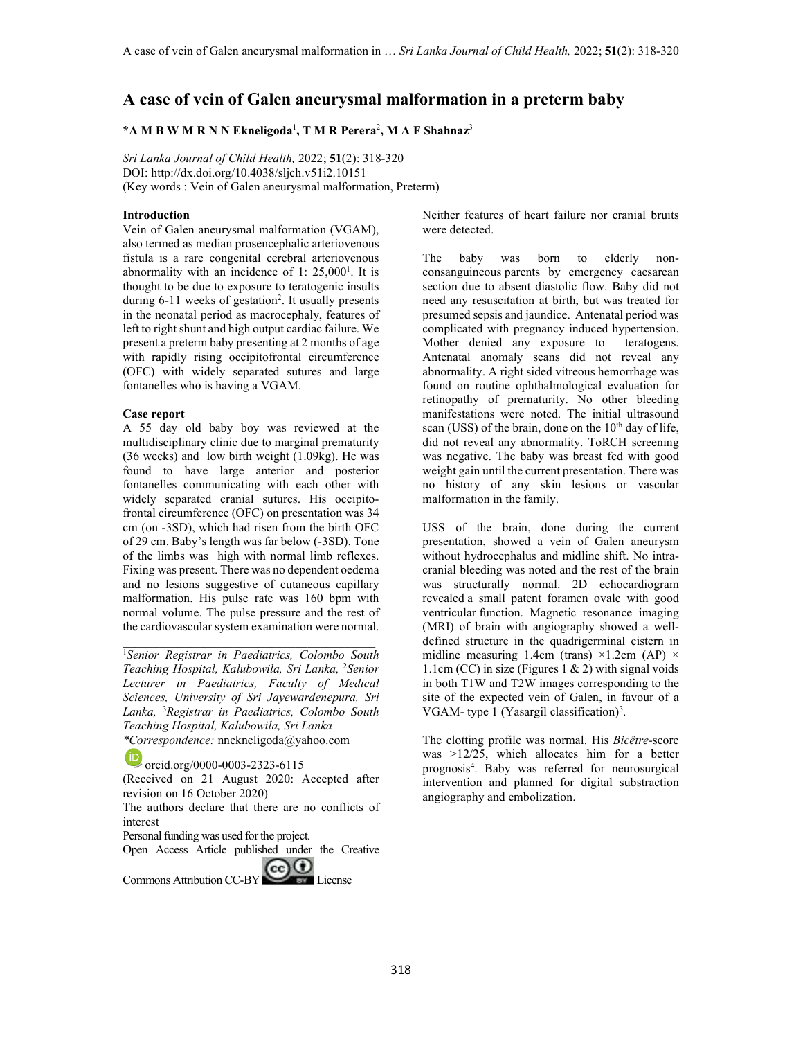# **A case of vein of Galen aneurysmal malformation in a preterm baby**

### **\*A M B W M R N N Ekneligoda**<sup>1</sup> **, T M R Perera**<sup>2</sup> **, M A F Shahnaz**<sup>3</sup>

*Sri Lanka Journal of Child Health,* 2022; **51**(2): 318-320 DOI: http://dx.doi.org/10.4038/sljch.v51i2.10151 (Key words : Vein of Galen aneurysmal malformation, Preterm)

# **Introduction**

Vein of Galen aneurysmal malformation (VGAM), also termed as median prosencephalic arteriovenous fistula is a rare congenital cerebral arteriovenous abnormality with an incidence of  $1: 25,000<sup>1</sup>$ . It is thought to be due to exposure to teratogenic insults during 6-11 weeks of gestation<sup>2</sup>. It usually presents in the neonatal period as macrocephaly, features of left to right shunt and high output cardiac failure. We present a preterm baby presenting at 2 months of age with rapidly rising occipitofrontal circumference (OFC) with widely separated sutures and large fontanelles who is having a VGAM.

#### **Case report**

A 55 day old baby boy was reviewed at the multidisciplinary clinic due to marginal prematurity (36 weeks) and low birth weight (1.09kg). He was found to have large anterior and posterior fontanelles communicating with each other with widely separated cranial sutures. His occipitofrontal circumference (OFC) on presentation was 34 cm (on -3SD), which had risen from the birth OFC of 29 cm. Baby's length was far below (-3SD). Tone of the limbs was high with normal limb reflexes. Fixing was present. There was no dependent oedema and no lesions suggestive of cutaneous capillary malformation. His pulse rate was 160 bpm with normal volume. The pulse pressure and the rest of the cardiovascular system examination were normal.

<sup>1</sup>*Senior Registrar in Paediatrics, Colombo South Teaching Hospital, Kalubowila, Sri Lanka,* <sup>2</sup>*Senior Lecturer in Paediatrics, Faculty of Medical Sciences, University of Sri Jayewardenepura, Sri Lanka,* <sup>3</sup>*Registrar in Paediatrics, Colombo South Teaching Hospital, Kalubowila, Sri Lanka \*Correspondence:* nnekneligoda@yahoo.com

 $\bigoplus$ orcid.org/0000-0003-2323-6115

(Received on 21 August 2020: Accepted after revision on 16 October 2020)

The authors declare that there are no conflicts of interest

Personal funding was used for the project.

Open Access Article published under the Creative

Commons Attribution CC-BY CO DE License

Neither features of heart failure nor cranial bruits were detected.

The baby was born to elderly nonconsanguineous parents by emergency caesarean section due to absent diastolic flow. Baby did not need any resuscitation at birth, but was treated for presumed sepsis and jaundice. Antenatal period was complicated with pregnancy induced hypertension. Mother denied any exposure to teratogens. Antenatal anomaly scans did not reveal any abnormality. A right sided vitreous hemorrhage was found on routine ophthalmological evaluation for retinopathy of prematurity. No other bleeding manifestations were noted. The initial ultrasound scan (USS) of the brain, done on the  $10<sup>th</sup>$  day of life, did not reveal any abnormality. ToRCH screening was negative. The baby was breast fed with good weight gain until the current presentation. There was no history of any skin lesions or vascular malformation in the family.

USS of the brain, done during the current presentation, showed a vein of Galen aneurysm without hydrocephalus and midline shift. No intracranial bleeding was noted and the rest of the brain was structurally normal. 2D echocardiogram revealed a small patent foramen ovale with good ventricular function. Magnetic resonance imaging (MRI) of brain with angiography showed a welldefined structure in the quadrigerminal cistern in midline measuring 1.4cm (trans)  $\times$ 1.2cm (AP)  $\times$ 1.1cm (CC) in size (Figures 1 & 2) with signal voids in both T1W and T2W images corresponding to the site of the expected vein of Galen, in favour of a VGAM- type  $1$  (Yasargil classification)<sup>3</sup>.

The clotting profile was normal. His *Bicêtre-*score was >12/25, which allocates him for a better prognosis<sup>4</sup> . Baby was referred for neurosurgical intervention and planned for digital substraction angiography and embolization.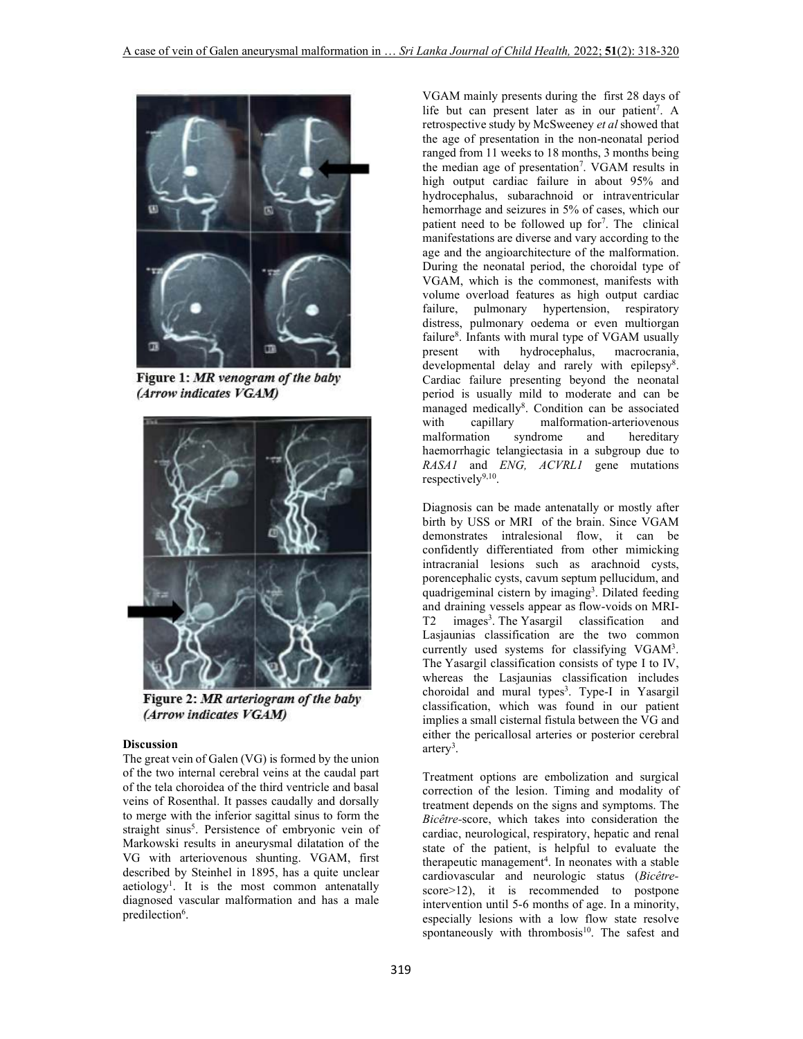

Figure 1: MR venogram of the baby (Arrow indicates VGAM)



Figure 2: MR arteriogram of the baby (Arrow indicates VGAM)

### **Discussion**

The great vein of Galen (VG) is formed by the union of the two internal cerebral veins at the caudal part of the tela choroidea of the third ventricle and basal veins of Rosenthal. It passes caudally and dorsally to merge with the inferior sagittal sinus to form the straight sinus<sup>5</sup>. Persistence of embryonic vein of Markowski results in aneurysmal dilatation of the VG with arteriovenous shunting. VGAM, first described by Steinhel in 1895, has a quite unclear aetiology<sup>1</sup>. It is the most common antenatally diagnosed vascular malformation and has a male predilection<sup>6</sup>.

VGAM mainly presents during the first 28 days of life but can present later as in our patient<sup>7</sup>. A retrospective study by McSweeney *et al* showed that the age of presentation in the non-neonatal period ranged from 11 weeks to 18 months, 3 months being the median age of presentation<sup>7</sup>. VGAM results in high output cardiac failure in about 95% and hydrocephalus, subarachnoid or intraventricular hemorrhage and seizures in 5% of cases, which our patient need to be followed up for<sup>7</sup>. The clinical manifestations are diverse and vary according to the age and the angioarchitecture of the malformation. During the neonatal period, the choroidal type of VGAM, which is the commonest, manifests with volume overload features as high output cardiac failure, pulmonary hypertension, respiratory distress, pulmonary oedema or even multiorgan failure<sup>8</sup>. Infants with mural type of VGAM usually present with hydrocephalus, macrocrania, developmental delay and rarely with epilepsy<sup>8</sup>. Cardiac failure presenting beyond the neonatal period is usually mild to moderate and can be managed medically<sup>8</sup>. Condition can be associated with capillary malformation-arteriovenous malformation syndrome and hereditary haemorrhagic telangiectasia in a subgroup due to *RASA1* and *ENG, ACVRL1* gene mutations respectively<sup>9,10</sup>.

Diagnosis can be made antenatally or mostly after birth by USS or MRI of the brain. Since VGAM demonstrates intralesional flow, it can be confidently differentiated from other mimicking intracranial lesions such as arachnoid cysts, porencephalic cysts, cavum septum pellucidum, and quadrigeminal cistern by imaging<sup>3</sup>. Dilated feeding and draining vessels appear as flow-voids on MRI-T2 images<sup>3</sup>. The Yasargil classification and Lasjaunias classification are the two common currently used systems for classifying VGAM<sup>3</sup>. The Yasargil classification consists of type I to IV, whereas the Lasjaunias classification includes choroidal and mural types<sup>3</sup>. Type-I in Yasargil classification, which was found in our patient implies a small cisternal fistula between the VG and either the pericallosal arteries or posterior cerebral artery<sup>3</sup>.

Treatment options are embolization and surgical correction of the lesion. Timing and modality of treatment depends on the signs and symptoms. The *Bicêtre-*score, which takes into consideration the cardiac, neurological, respiratory, hepatic and renal state of the patient, is helpful to evaluate the therapeutic management<sup>4</sup>. In neonates with a stable cardiovascular and neurologic status (*Bicêtre*score>12), it is recommended to postpone intervention until 5-6 months of age. In a minority, especially lesions with a low flow state resolve spontaneously with thrombosis $10$ . The safest and